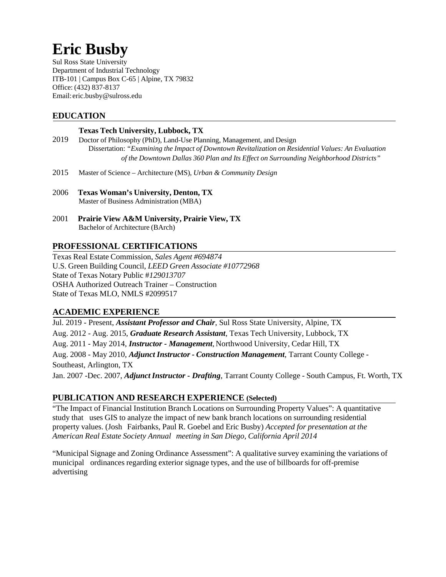# **Eric Busby**

Sul Ross State University Department of Industrial Technology ITB-101 | Campus Box C-65 | Alpine, TX 79832 Office: (432) 837-8137 Email: eric.busby@sulross.edu

# **EDUCATION**

#### **Texas Tech University, Lubbock, TX**

- 2019 Doctor of Philosophy (PhD), Land-Use Planning, Management, and Design Dissertation: *"Examining the Impact of Downtown Revitalization on Residential Values: An Evaluation of the Downtown Dallas 360 Plan and Its Effect on Surrounding Neighborhood Districts"*
- 2015 Master of Science Architecture (MS)*, Urban & Community Design*
- 2006 **Texas Woman's University, Denton, TX** Master of Business Administration (MBA)
- 2001 **Prairie View A&M University, Prairie View, TX** Bachelor of Architecture (BArch)

## **PROFESSIONAL CERTIFICATIONS**

Texas Real Estate Commission, *Sales Agent #694874* U.S. Green Building Council, *LEED Green Associate #10772968* State of Texas Notary Public #*129013707* OSHA Authorized Outreach Trainer – Construction State of Texas MLO, NMLS #2099517

#### **ACADEMIC EXPERIENCE**

Jul. 2019 - Present, *Assistant Professor and Chair*, Sul Ross State University, Alpine, TX Aug. 2012 - Aug. 2015, *Graduate Research Assistant*, Texas Tech University, Lubbock, TX Aug. 2011 - May 2014, *Instructor - Management,* Northwood University, Cedar Hill, TX Aug. 2008 - May 2010, *Adjunct Instructor - Construction Management*, Tarrant County College - Southeast, Arlington, TX Jan. 2007 -Dec. 2007, *AdjunctInstructor - Drafting*, Tarrant County College - South Campus, Ft. Worth, TX

## **PUBLICATION AND RESEARCH EXPERIENCE (Selected)**

"The Impact of Financial Institution Branch Locations on Surrounding Property Values": A quantitative study that uses GIS to analyze the impact of new bank branch locations on surrounding residential property values. (Josh Fairbanks, Paul R. Goebel and Eric Busby) *Accepted for presentation at the American Real Estate Society Annual meeting in San Diego, California April 2014*

"Municipal Signage and Zoning Ordinance Assessment": A qualitative survey examining the variations of municipal ordinances regarding exterior signage types, and the use of billboards for off-premise advertising